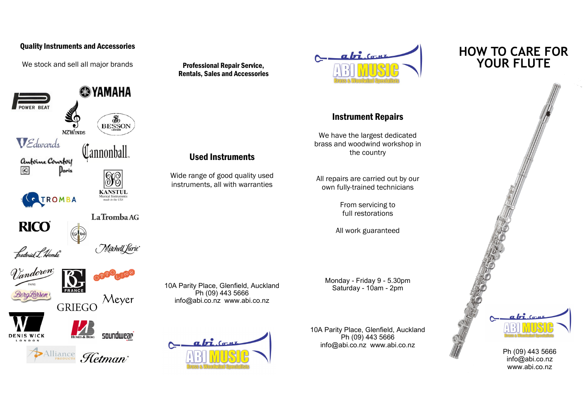## Quality Instruments and Accessories

We stock and sell all major brands

 $\circledcirc$ 

**RICO** 

frederick L. Hemke<sup>n</sup>



LaTromba AG





Alliance Hetman<sup>.</sup>

Professional Repair Service, Rentals, Sales and Accessories

Used Instruments

Wide range of good quality used instruments, all with warranties

10A Parity Place, Glenfield, Auckland Ph (09) 443 5666 info@abi.co.nz www.abi.co.nz

 $a\overrightarrow{h}$   $(a, n)$ 



## Instrument Repairs

We have the largest dedicated brass and woodwind workshop in the country

All repairs are carried out by our own fully-trained technicians

> From servicing to full restorations

All work guaranteed

Monday - Friday 9 - 5.30pm Saturday - 10am - 2pm

10A Parity Place, Glenfield, Auckland Ph (09) 443 5666 info@abi.co.nz www.abi.co.nz

## **HOW TO CARE FOR YOUR FLUTE**



Ph (09) 443 5666 info@abi.co.nz www.abi.co.nz